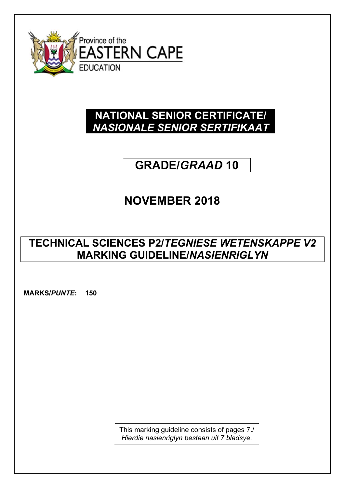

### **NATIONAL SENIOR CERTIFICATE/**  *NASIONALE SENIOR SERTIFIKAAT*

# **GRADE/***GRAAD* **10**

## **NOVEMBER 2018**

### **TECHNICAL SCIENCES P2/***TEGNIESE WETENSKAPPE V2* **MARKING GUIDELINE/***NASIENRIGLYN*

**MARKS/***PUNTE***: 150**

This marking guideline consists of pages 7./ *Hierdie nasienriglyn bestaan uit 7 bladsye*.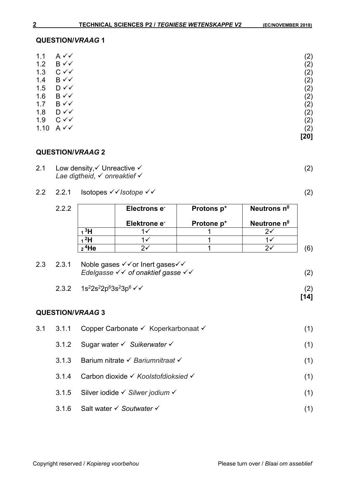(2)

#### **QUESTION/***VRAAG* **1**

| 1.1  | $A \vee C$     |      | (2) |
|------|----------------|------|-----|
| 1.2  | B√√            |      | (2) |
| 1.3  | $C \vee C$     |      | (2) |
| 1.4  | $B \vee \vee$  |      | (2) |
| 1.5  | $D \vee \vee$  |      | (2) |
| 1.6  | $B \vee \vee$  |      | (2) |
| 1.7  | $B \vee \vee$  |      | (2) |
| 1.8  | $D \checkmark$ |      | (2) |
| 1.9  | $C \vee C$     |      | (2) |
| 1.10 | $A \vee C$     |      | (2) |
|      |                | [20] |     |

### **QUESTION/***VRAAG* **2**

- 2.1 Low density,  $\checkmark$  Unreactive  $\checkmark$ *Lae digtheid*, *onreaktief*
- 2.2 2.2.1 Isotopes  $\checkmark$  / Isotope  $\checkmark$  /

| 2.2.2 |                   | Electrons e <sup>-</sup> | Protons p <sup>+</sup> | Neutrons n <sup>o</sup> |
|-------|-------------------|--------------------------|------------------------|-------------------------|
|       |                   | Elektrone e <sup>-</sup> | Protone p <sup>+</sup> | Neutrone n <sup>o</sup> |
|       | <sup>3</sup> H    |                          |                        |                         |
|       |                   |                          |                        |                         |
|       | 2 <sup>4</sup> He |                          |                        |                         |

|  | 2.3 2.3.1 Noble gases $\checkmark$ or lnert gases $\checkmark$<br>Edelgasse $\checkmark\checkmark$ of onaktief gasse $\checkmark\checkmark$ | (2) |
|--|---------------------------------------------------------------------------------------------------------------------------------------------|-----|
|  | 2.3.2 $1s^22s^22p^63s^23p^6 \checkmark$                                                                                                     | (2) |

**[14]**

**QUESTION/***VRAAG* **3** 

# 3.1 3.1.1 Copper Carbonate  $\checkmark$  Koperkarbonaat  $\checkmark$  (1) 3.1.2 Sugar water *Suikerwater* (1) 3.1.3 Barium nitrate *Bariumnitraat*  (1) 3.1.4 Carbon dioxide *Koolstofdioksied* (1) 3.1.5 Silver iodide *Silwer jodium*  (1)

3.1.6 Salt water *Soutwater*  (1)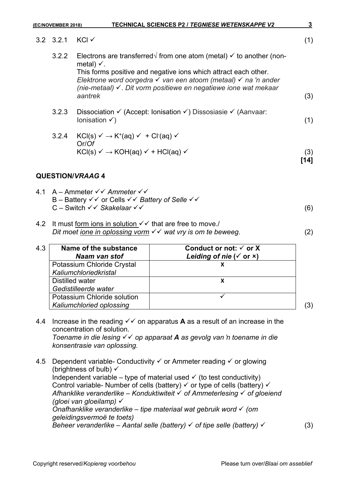|     | (EC/NOVEMBER 2018) | TECHNICAL SCIENCES P2 / TEGNIESE WETENSKAPPE V2                                                                                                                                                                                                                                                                                      | $\mathbf{3}$ |
|-----|--------------------|--------------------------------------------------------------------------------------------------------------------------------------------------------------------------------------------------------------------------------------------------------------------------------------------------------------------------------------|--------------|
|     | $3.2$ $3.2.1$      | KCI √                                                                                                                                                                                                                                                                                                                                | (1)          |
|     | 3.2.2              | Electrons are transferred $\sqrt{ }$ from one atom (metal) $\checkmark$ to another (non-<br>metal) $\checkmark$ .<br>This forms positive and negative ions which attract each other.<br>Elektrone word oorgedra v van een atoom (metaal) v na 'n ander<br>(nie-metaal) √. Dit vorm positiewe en negatiewe ione wat mekaar<br>aantrek | (3)          |
|     | 3.2.3              | Dissociation $\checkmark$ (Accept: Ionisation $\checkmark$ ) Dissosiasie $\checkmark$ (Aanvaar:<br>Ionisation $\checkmark$ )                                                                                                                                                                                                         | (1)          |
|     | 3.2.4              | $KCl(s) \vee \rightarrow K^+(aq) \vee + Cl^-(aq) \vee$<br>Or/Of<br>$KCl(s) \vee \rightarrow KOH(aq) \vee HCl(aq) \vee$                                                                                                                                                                                                               | (3)<br>[14]  |
|     |                    | <b>QUESTION/VRAAG 4</b>                                                                                                                                                                                                                                                                                                              |              |
|     |                    | 4.1 A – Ammeter $\checkmark\checkmark$ Ammeter $\checkmark\checkmark$<br>B – Battery $\checkmark\checkmark$ or Cells $\checkmark\checkmark$ Battery of Selle $\checkmark\checkmark$<br>C - Switch $\checkmark\checkmark$ Skakelaar $\checkmark\checkmark$                                                                            | (6)          |
| 4.2 |                    | It must form ions in solution $\checkmark\checkmark$ that are free to move./<br>Dit moet jone in oplossing vorm $\checkmark\checkmark$ wat vry is om te beweeg.                                                                                                                                                                      | (2)          |

| 4.3 | Name of the substance<br>Naam van stof | Conduct or not: $\checkmark$ or X<br>Leiding of nie ( $\checkmark$ or $\checkmark$ ) |  |
|-----|----------------------------------------|--------------------------------------------------------------------------------------|--|
|     | Potassium Chloride Crystal             |                                                                                      |  |
|     | Kaliumchloriedkristal                  |                                                                                      |  |
|     | Distilled water                        |                                                                                      |  |
|     | Gedistilleerde water                   |                                                                                      |  |
|     | Potassium Chloride solution            |                                                                                      |  |
|     | Kaliumchloried oplossing               |                                                                                      |  |

- 4.4 Increase in the reading  $\checkmark\checkmark$  on apparatus **A** as a result of an increase in the concentration of solution. *Toename in die lesing* √  $\checkmark$  op apparaat **A** as gevolg van 'n toename in die *konsentrasie van oplossing.*
- 4.5 Dependent variable- Conductivity  $\checkmark$  or Ammeter reading  $\checkmark$  or glowing (brightness of bulb)  $\checkmark$ Independent variable – type of material used  $\checkmark$  (to test conductivity) Control variable- Number of cells (battery)  $\checkmark$  or type of cells (battery)  $\checkmark$ *Afhanklike veranderlike – Konduktiwiteit of Ammeterlesing of gloeiend (gloei van gloeilamp) Onafhanklike veranderlike* – *tipe materiaal wat gebruik word (om geleidingsvermoë te toets) Beheer veranderlike – Aantal selle (battery)*  $\checkmark$  of tipe selle (battery)  $\checkmark$  (3)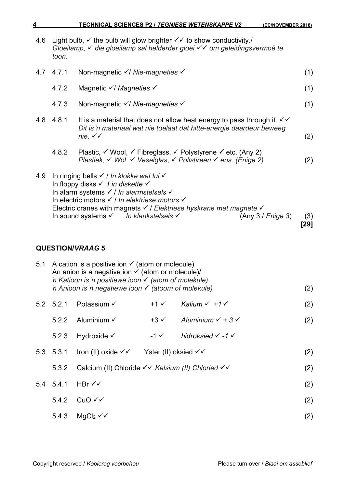| 4.6 | Light bulb, $\checkmark$ the bulb will glow brighter $\checkmark\checkmark$ to show conductivity./<br>Gloeilamp, v die gloeilamp sal helderder gloei v v om geleidingsvermoë te<br>toon.                                                                        |                                                                                                                                                                                                                                                                                                                                      |                   |                                     |                   |             |
|-----|-----------------------------------------------------------------------------------------------------------------------------------------------------------------------------------------------------------------------------------------------------------------|--------------------------------------------------------------------------------------------------------------------------------------------------------------------------------------------------------------------------------------------------------------------------------------------------------------------------------------|-------------------|-------------------------------------|-------------------|-------------|
| 4.7 | 4.7.1                                                                                                                                                                                                                                                           | Non-magnetic √/ Nie-magneties √                                                                                                                                                                                                                                                                                                      |                   |                                     |                   | (1)         |
|     | 4.7.2                                                                                                                                                                                                                                                           | Magnetic √/ Magneties √                                                                                                                                                                                                                                                                                                              |                   |                                     |                   | (1)         |
|     | 4.7.3                                                                                                                                                                                                                                                           | Non-magnetic $\checkmark$ Nie-magneties $\checkmark$                                                                                                                                                                                                                                                                                 |                   |                                     |                   | (1)         |
|     | 4.8 4.8.1                                                                                                                                                                                                                                                       | It is a material that does not allow heat energy to pass through it. $\checkmark\checkmark$<br>Dit is 'n materiaal wat nie toelaat dat hitte-energie daardeur beweeg<br>nie. $\checkmark\checkmark$                                                                                                                                  |                   |                                     |                   | (2)         |
|     | 4.8.2                                                                                                                                                                                                                                                           | Plastic, V Wool, V Fibreglass, V Polystyrene V etc. (Any 2)<br>Plastiek, V Wol, V Veselglas, V Polistireen V ens. (Enige 2)                                                                                                                                                                                                          |                   |                                     |                   | (2)         |
| 4.9 |                                                                                                                                                                                                                                                                 | In ringing bells √ / In klokke wat lui √<br>In floppy disks $\checkmark$ I in diskette $\checkmark$<br>In alarm systems √ / In alarmstelsels √<br>In electric motors √ / In elektriese motors √<br>Electric cranes with magnets $\checkmark$ / Elektriese hyskrane met magnete $\checkmark$<br>In sound systems v In klankstelsels v |                   |                                     | (Any 3 / Enige 3) | (3)<br>[29] |
|     |                                                                                                                                                                                                                                                                 | <b>QUESTION/VRAAG 5</b>                                                                                                                                                                                                                                                                                                              |                   |                                     |                   |             |
| 5.1 | A cation is a positive ion $\checkmark$ (atom or molecule)<br>An anion is a negative ion $\checkmark$ (atom or molecule)/<br>'n Katioon is 'n positiewe ioon $\checkmark$ (atom of molekule)<br>'n Anioon is 'n negatiewe ioon $\checkmark$ (atoom of molekule) |                                                                                                                                                                                                                                                                                                                                      |                   |                                     | (2)               |             |
|     | 5.2 5.2.1                                                                                                                                                                                                                                                       | Potassium $\checkmark$                                                                                                                                                                                                                                                                                                               | $+1$ $\checkmark$ | Kalium $\checkmark$ +1 $\checkmark$ |                   | (2)         |

- 5.2.2 Aluminium  $\checkmark$  +3  $\checkmark$  Aluminium  $\checkmark$  + 3  $\checkmark$  (2)
- 5.2.3 Hydroxide -1 *hidroksied -1*
- 5.3 5.3.1 Iron (II) oxide  $\checkmark$  Yster (II) oksied  $\checkmark$  / (2)
	- 5.3.2 Calcium (II) Chloride √ *Kalsium (II) Chloried* √ √ (2)
- $5.4$  5.4.1 HBr  $\checkmark\checkmark$  (2)  $5.4.2$  CuO  $\checkmark$  (2)
- $5.4.3$  MgCl<sub>2</sub>  $\checkmark$  (2)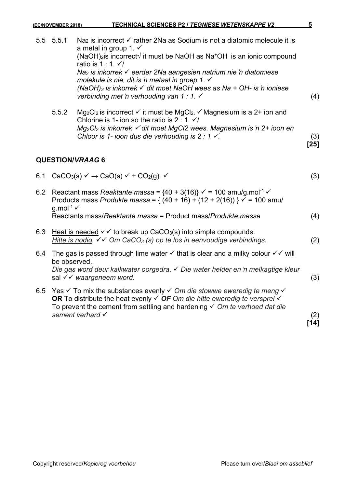|     | 5.5 5.5.1                        | Na <sub>2</sub> is incorrect $\checkmark$ rather 2Na as Sodium is not a diatomic molecule it is<br>a metal in group 1. $\checkmark$<br>(NaOH) <sub>2</sub> is incorrect $\sqrt{ }$ it must be NaOH as Na <sup>+</sup> OH <sup>-</sup> is an ionic compound<br>ratio is $1:1.\checkmark$<br>Na <sub>2</sub> is inkorrek <del>V</del> eerder 2Na aangesien natrium nie 'n diatomiese<br>molekule is nie, dit is 'n metaal in groep 1. √<br>(NaOH) <sub>2</sub> is inkorrek $\checkmark$ dit moet NaOH wees as Na + OH- is 'n ioniese<br>verbinding met 'n verhouding van 1 : 1. √ | (4)           |
|-----|----------------------------------|---------------------------------------------------------------------------------------------------------------------------------------------------------------------------------------------------------------------------------------------------------------------------------------------------------------------------------------------------------------------------------------------------------------------------------------------------------------------------------------------------------------------------------------------------------------------------------|---------------|
|     | 5.5.2                            | Mg <sub>2</sub> Cl <sub>2</sub> is incorrect $\checkmark$ it must be MgCl <sub>2</sub> . $\checkmark$ Magnesium is a 2+ ion and<br>Chlorine is 1- ion so the ratio is 2: 1. $\sqrt{ }$<br>$Mg_2Cl_2$ is inkorrek $\checkmark$ dit moet MgCl2 wees. Magnesium is 'n 2+ ioon en<br>Chloor is 1- ioon dus die verhouding is $2:1 \checkmark$ .                                                                                                                                                                                                                                     | (3)<br>$[25]$ |
|     |                                  | <b>QUESTION/VRAAG6</b>                                                                                                                                                                                                                                                                                                                                                                                                                                                                                                                                                          |               |
| 6.1 |                                  | $CaCO3(s) \vee \rightarrow CaO(s) \vee + CO2(g) \vee$                                                                                                                                                                                                                                                                                                                                                                                                                                                                                                                           | (3)           |
|     | g.mol <sup>-1</sup> $\checkmark$ | 6.2 Reactant mass Reaktante massa = $\{40 + 3(16)\}\check{ }$ = 100 amu/g.mol <sup>-1</sup> $\check{ }$<br>Products mass Produkte massa = $\{(40 + 16) + (12 + 2(16))\}\mathsf{v} = 100$ amu/                                                                                                                                                                                                                                                                                                                                                                                   |               |
|     |                                  | Reactants mass/Reaktante massa = Product mass/Produkte massa                                                                                                                                                                                                                                                                                                                                                                                                                                                                                                                    | (4)           |
| 6.3 |                                  | Heat is needed $\checkmark\checkmark$ to break up CaCO <sub>3</sub> (s) into simple compounds.<br>Hitte is nodig. $\checkmark\checkmark$ Om CaCO <sub>3</sub> (s) op te los in eenvoudige verbindings.                                                                                                                                                                                                                                                                                                                                                                          | (2)           |
| 6.4 | be observed.                     | The gas is passed through lime water $\checkmark$ that is clear and a milky colour $\checkmark\checkmark$ will<br>Die gas word deur kalkwater oorgedra. √ Die water helder en 'n melkagtige kleur<br>sal √ v waargeneem word.                                                                                                                                                                                                                                                                                                                                                   | (3)           |
| 6.5 |                                  | Yes $\checkmark$ To mix the substances evenly $\checkmark$ Om die stowwe eweredig te meng $\checkmark$<br>OR To distribute the heat evenly $\checkmark$ OF Om die hitte eweredig te versprei $\checkmark$<br>To prevent the cement from settling and hardening $\checkmark$ Om te verhoed dat die<br>sement verhard V                                                                                                                                                                                                                                                           | (2)<br>$[14]$ |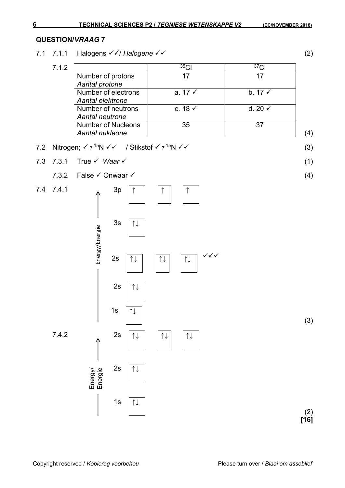### **QUESTION/***VRAAG* **7**

7.1 7.1.1 Halogens / *Halogene* (2)

| 7.1.2 |                           | 35 <sub>CI</sub>   | 37 <sub>Cl</sub>   |     |
|-------|---------------------------|--------------------|--------------------|-----|
|       | Number of protons         | 17                 | 17                 |     |
|       | Aantal protone            |                    |                    |     |
|       | Number of electrons       | a. $17 \checkmark$ | b. $17 \checkmark$ |     |
|       | Aantal elektrone          |                    |                    |     |
|       | Number of neutrons        | c. 18 $\checkmark$ | d. 20 $\checkmark$ |     |
|       | Aantal neutrone           |                    |                    |     |
|       | <b>Number of Nucleons</b> | 35                 | 37                 |     |
|       | Aantal nukleone           |                    |                    | (4) |

7.2 Nitrogen; 
$$
\checkmark
$$
  $\checkmark$   $\checkmark$   $\checkmark$  / Stikstof  $\checkmark$   $\checkmark$   $\checkmark$   $\checkmark$   $\checkmark$   $\checkmark$  (3)

- 7.3 7.3.1 True *Waar* (1)
	- 7.3.2 False  $\checkmark$  Onwaar  $\checkmark$  (4)